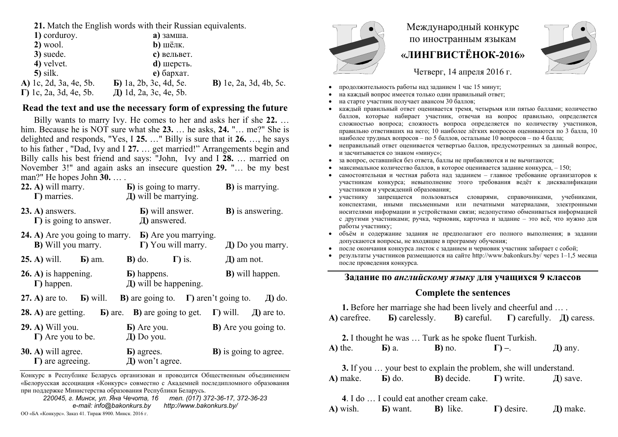**21.** Match the English words with their Russian equivalents.

| 1) corduroy.                   | $a)$ замша.                    |                                |
|--------------------------------|--------------------------------|--------------------------------|
| $2)$ wool.                     | $b$ ) шёлк.                    |                                |
| 3) suede.                      | с) вельвет.                    |                                |
| 4) velvet.                     | $\mathbf d$ ) шерсть.          |                                |
| $5)$ silk.                     | $e)$ бархат.                   |                                |
| A) 1c, 2d, 3a, 4e, 5b.         | <b>b</b> ) 1a, 2b, 3c, 4d, 5e. | <b>B</b> ) 1e, 2a, 3d, 4b, 5c. |
| $\Gamma$ ) 1c, 2a, 3d, 4e, 5b. | Д) 1d, 2a, 3c, 4e, 5b.         |                                |
|                                |                                |                                |

# **Read the text and use the necessary form of expressing the future**

Billy wants to marry Ivy. He comes to her and asks her if she **22.** … him. Because he is NOT sure what she **23.** … he asks, **24.** "… me?" She is delighted and responds, "Yes, I **25.** …" Billy is sure that it **26.** …, he says to his father , "Dad, Ivy and I **27.** … get married!" Arrangements begin and Billy calls his best friend and says: "John, Ivy and I **28.** … married on November 3!" and again asks an insecure question **29.** "… be my best man?" He hopes John **30.** … .

| $(22. A)$ will marry.<br>$\Gamma$ ) marries.                                                            | <b>b</b> ) is going to marry.<br>$\pi$ ) will be marrying. | <b>B</b> ) is marrying.       |
|---------------------------------------------------------------------------------------------------------|------------------------------------------------------------|-------------------------------|
| $(23. A)$ answers.<br>$\Gamma$ ) is going to answer.                                                    | <b>b</b> ) will answer.<br>Д) answered.                    | <b>B</b> ) is answering.      |
| <b>24.</b> A) Are you going to marry. <b>b</b> ) Are you marrying.<br><b>B</b> ) Will you marry.        | $\Gamma$ ) You will marry.                                 | $\pi$ ) Do you marry.         |
| <b>25.</b> A) will. <b>b</b> ) am.                                                                      | $\Gamma$ ) is.<br>$\bf{B})$ do.                            | $\mu$ ) am not.               |
| $26. A)$ is happening.<br>$\Gamma$ ) happen.                                                            | <b>b</b> ) happens.<br>$\pi$ ) will be happening.          | <b>B</b> ) will happen.       |
| 27. A) are to. $\bf{E}$ ) will.                                                                         | <b>B</b> ) are going to. $\Gamma$ ) aren't going to.       | Д) do.                        |
| <b>28.</b> A) are getting. <b>b</b> ) are. <b>B</b> ) are going to get. <b>I</b> ) will. $\Box$ are to. |                                                            |                               |
| <b>29. A)</b> Will you.<br>$\Gamma$ ) Are you to be.                                                    | <b>b</b> ) Are you.<br>$\pi$ ) Do you.                     | <b>B</b> ) Are you going to.  |
| 30. A) will agree.<br>$\Gamma$ ) are agreeing.                                                          | <b>b</b> ) agrees.<br>Д) won't agree.                      | <b>B</b> ) is going to agree. |

Конкурс <sup>в</sup> Республике Беларусь организован <sup>и</sup> проводится Общественным объединением «Белорусская ассоциация «Конкурс» совместно <sup>с</sup> Академией последипломного образования при поддержке Министерства образования Республики Беларусь.

*220045, <sup>г</sup>. Минск, ул. Яна Чечота, 16 тел. (017) 372-36-17, 372-36-23 e-mail: info@bakonkurs.by http://www.bakonkurs.by/*  ОО «БА «Конкурс». Заказ 41. Тираж 8900. Минск. 2016 г. <u>Дана Инск.</u> 2016 г. Дана Инск. 2016 г. Дана Инск. 2016 г. Дана Инск. 2016 г. Дана Инск. 2016 г. Дана Инск. 2016 г. Дана Инск. 2016 г. Дана Инск. 2016 г. Дана Инск. 2



# Международный конкурс по иностранным языкам **«ЛИНГВИСТЁНОК-2016»**



Четверг, 14 апреля 2016 г.

- . продолжительность работы над заданием 1 час 15 минут;
- ۰ на каждый вопрос имеется только один правильный ответ;
- . на старте участник получает авансом 30 баллов;
- . каждый правильный ответ оценивается тремя, четырьмя или пятью баллами; количество баллов, которые набирает участник, отвечая на вопрос правильно, определяется сложностью вопроса; сложность вопроса определяется по количеству участников, правильно ответивших на него; 10 наиболее лёгких вопросов оцениваются по 3 балла, 10 наиболее трудных вопросов – по 5 баллов, остальные 10 вопросов – по 4 балла;
- . неправильный ответ оценивается четвертью баллов, предусмотренных за данный вопрос, и засчитывается со знаком «минус»;
- ۰ за вопрос, оставшийся без ответа, баллы не прибавляются <sup>и</sup> не вычитаются;
- . • максимальное количество баллов, в которое оценивается задание конкурса,  $-150$ ;
- ۰ самостоятельная и честная работа над заданием – главное требование организаторов <sup>к</sup> участникам конкурса; невыполнение этого требования ведёт <sup>к</sup> дисквалификации участников <sup>и</sup> учреждений образования;
- ۰ участнику запрещается пользоваться словарями, справочниками, учебниками, конспектами, иными письменными или печатными материалами, электронными носителями информации <sup>и</sup> устройствами связи; недопустимо обмениваться информацией с другими участниками; ручка, черновик, карточка <sup>и</sup> задание – это всё, что нужно для работы участнику;
- . объём <sup>и</sup> содержание задания не предполагают его полного выполнения; <sup>в</sup> задании допускаются вопросы, не входящие <sup>в</sup> программу обучения;
- ۰ после окончания конкурса листок <sup>с</sup> заданием <sup>и</sup> черновик участник забирает <sup>с</sup> собой;
- ۰ результаты участников размещаются на сайте http://www.bakonkurs.by/ через 1–1,5 месяца после проведения конкурса.

# **Задание по** *английскому языку* **для учащихся 9 классов**

### **Complete the sentences**

|                 |                                            | 1. Before her marriage she had been lively and cheerful and                            |                                                                                                                          |
|-----------------|--------------------------------------------|----------------------------------------------------------------------------------------|--------------------------------------------------------------------------------------------------------------------------|
|                 |                                            |                                                                                        | A) carefree. $\quad$ <b>B</b> ) carelessly. <b>B</b> ) careful. $\quad$ <b>T</b> ) carefully. $\quad$ <b>H</b> ) caress. |
|                 |                                            | 2. I thought he was  Turk as he spoke fluent Turkish.                                  |                                                                                                                          |
| $\bf{A}$ ) the. | <b>b</b> ) a. <b>b</b> ) no. $\Gamma$ ) -. |                                                                                        | $\pi$ ) any.                                                                                                             |
|                 |                                            | 3. If you  your best to explain the problem, she will understand.                      |                                                                                                                          |
|                 |                                            | A) make. <b>b</b> ) do. <b>b</b> ) decide. <b>c</b> ) write. $\Box$ ave.               |                                                                                                                          |
|                 | 4. I do  I could eat another cream cake.   |                                                                                        |                                                                                                                          |
|                 |                                            | <b>A</b> ) wish. <b>b</b> ) want. <b>B</b> ) like. <b>I</b> ) desire. <i>I</i> ) make. |                                                                                                                          |